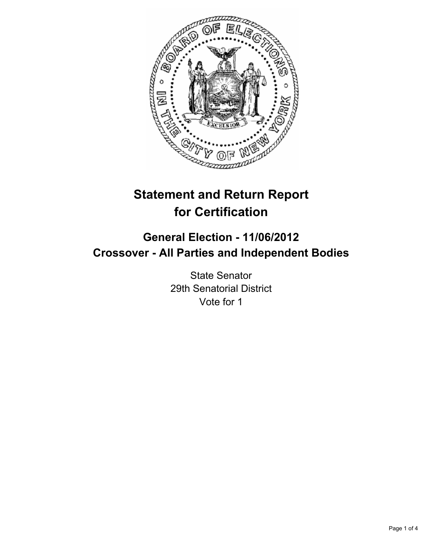

# **Statement and Return Report for Certification**

## **General Election - 11/06/2012 Crossover - All Parties and Independent Bodies**

State Senator 29th Senatorial District Vote for 1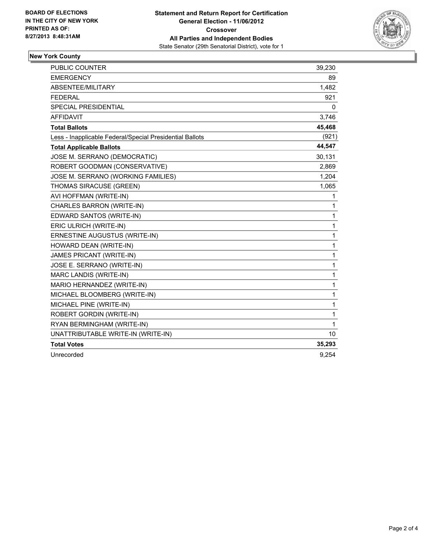

### **New York County**

| <b>PUBLIC COUNTER</b>                                    | 39,230 |
|----------------------------------------------------------|--------|
| <b>EMERGENCY</b>                                         | 89     |
| <b>ABSENTEE/MILITARY</b>                                 | 1,482  |
| <b>FEDERAL</b>                                           | 921    |
| <b>SPECIAL PRESIDENTIAL</b>                              | 0      |
| <b>AFFIDAVIT</b>                                         | 3,746  |
| <b>Total Ballots</b>                                     | 45,468 |
| Less - Inapplicable Federal/Special Presidential Ballots | (921)  |
| <b>Total Applicable Ballots</b>                          | 44,547 |
| JOSE M. SERRANO (DEMOCRATIC)                             | 30,131 |
| ROBERT GOODMAN (CONSERVATIVE)                            | 2,869  |
| JOSE M. SERRANO (WORKING FAMILIES)                       | 1,204  |
| THOMAS SIRACUSE (GREEN)                                  | 1,065  |
| AVI HOFFMAN (WRITE-IN)                                   | 1      |
| CHARLES BARRON (WRITE-IN)                                | 1      |
| EDWARD SANTOS (WRITE-IN)                                 | 1      |
| ERIC ULRICH (WRITE-IN)                                   | 1      |
| ERNESTINE AUGUSTUS (WRITE-IN)                            | 1      |
| HOWARD DEAN (WRITE-IN)                                   | 1      |
| JAMES PRICANT (WRITE-IN)                                 | 1      |
| JOSE E. SERRANO (WRITE-IN)                               | 1      |
| MARC LANDIS (WRITE-IN)                                   | 1      |
| MARIO HERNANDEZ (WRITE-IN)                               | 1      |
| MICHAEL BLOOMBERG (WRITE-IN)                             | 1      |
| MICHAEL PINE (WRITE-IN)                                  | 1      |
| ROBERT GORDIN (WRITE-IN)                                 | 1      |
| RYAN BERMINGHAM (WRITE-IN)                               | 1      |
| UNATTRIBUTABLE WRITE-IN (WRITE-IN)                       | 10     |
| <b>Total Votes</b>                                       | 35,293 |
| Unrecorded                                               | 9,254  |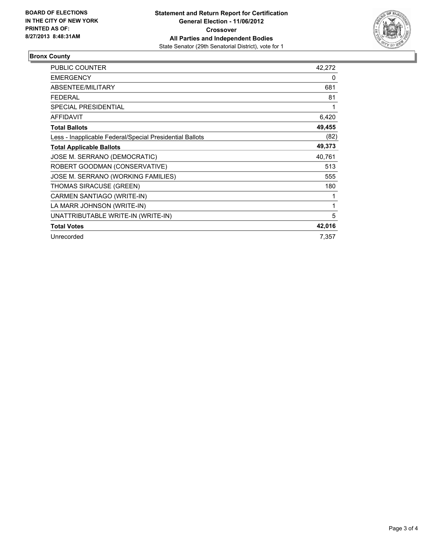

### **Bronx County**

| PUBLIC COUNTER                                           | 42,272 |
|----------------------------------------------------------|--------|
| <b>EMERGENCY</b>                                         | 0      |
| <b>ABSENTEE/MILITARY</b>                                 | 681    |
| <b>FEDERAL</b>                                           | 81     |
| SPECIAL PRESIDENTIAL                                     | 1      |
| <b>AFFIDAVIT</b>                                         | 6,420  |
| <b>Total Ballots</b>                                     | 49,455 |
| Less - Inapplicable Federal/Special Presidential Ballots | (82)   |
| <b>Total Applicable Ballots</b>                          | 49,373 |
| JOSE M. SERRANO (DEMOCRATIC)                             | 40,761 |
| ROBERT GOODMAN (CONSERVATIVE)                            | 513    |
| JOSE M. SERRANO (WORKING FAMILIES)                       | 555    |
| THOMAS SIRACUSE (GREEN)                                  | 180    |
| CARMEN SANTIAGO (WRITE-IN)                               | 1      |
| LA MARR JOHNSON (WRITE-IN)                               | 1      |
| UNATTRIBUTABLE WRITE-IN (WRITE-IN)                       | 5      |
| <b>Total Votes</b>                                       | 42,016 |
| Unrecorded                                               | 7,357  |